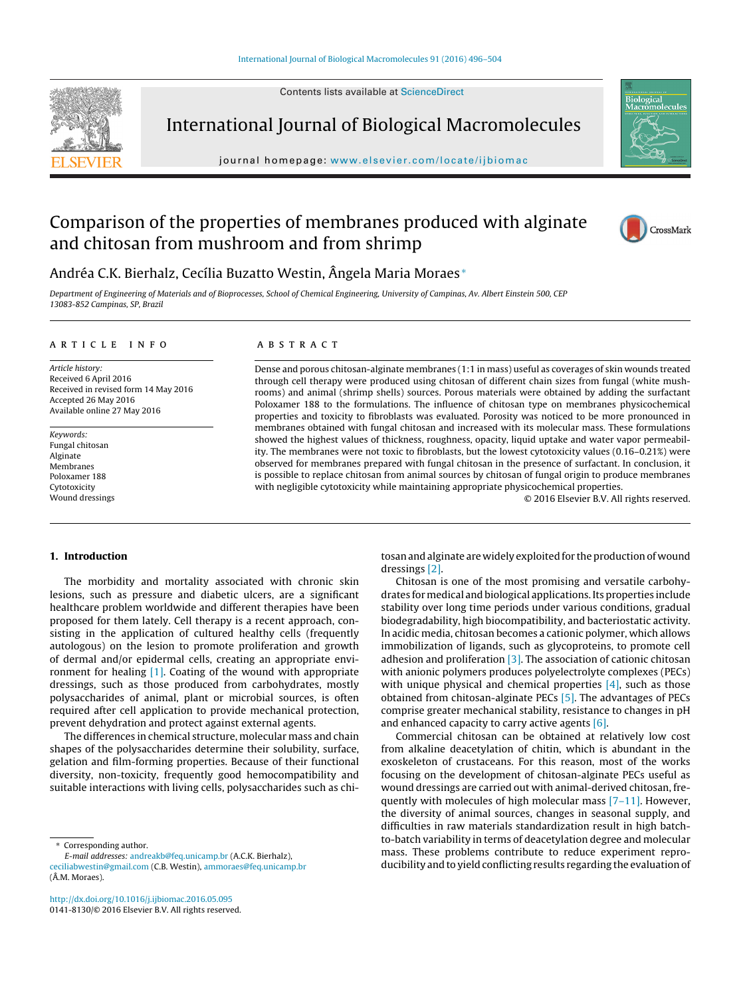Contents lists available at [ScienceDirect](http://www.sciencedirect.com/science/journal/01418130)



International Journal of Biological Macromolecules

iournal homepage: [www.elsevier.com/locate/ijbiomac](http://www.elsevier.com/locate/ijbiomac)



# Comparison of the properties of membranes produced with alginate and chitosan from mushroom and from shrimp



# Andréa C.K. Bierhalz, Cecília Buzatto Westin, Ângela Maria Moraes <sup>∗</sup>

Department of Engineering of Materials and of Bioprocesses, School of Chemical Engineering, University of Campinas, Av. Albert Einstein 500, CEP 13083-852 Campinas, SP, Brazil

# a r t i c l e i n f o

Article history: Received 6 April 2016 Received in revised form 14 May 2016 Accepted 26 May 2016 Available online 27 May 2016

Keywords: Fungal chitosan Alginate Membranes Poloxamer 188 Cytotoxicity Wound dressings

## A B S T R A C T

Dense and porous chitosan-alginate membranes (1:1 in mass) useful as coverages of skin wounds treated through cell therapy were produced using chitosan of different chain sizes from fungal (white mushrooms) and animal (shrimp shells) sources. Porous materials were obtained by adding the surfactant Poloxamer 188 to the formulations. The influence of chitosan type on membranes physicochemical properties and toxicity to fibroblasts was evaluated. Porosity was noticed to be more pronounced in membranes obtained with fungal chitosan and increased with its molecular mass. These formulations showed the highest values of thickness, roughness, opacity, liquid uptake and water vapor permeability. The membranes were not toxic to fibroblasts, but the lowest cytotoxicity values (0.16–0.21%) were observed for membranes prepared with fungal chitosan in the presence of surfactant. In conclusion, it is possible to replace chitosan from animal sources by chitosan of fungal origin to produce membranes with negligible cytotoxicity while maintaining appropriate physicochemical properties.

© 2016 Elsevier B.V. All rights reserved.

# **1. Introduction**

The morbidity and mortality associated with chronic skin lesions, such as pressure and diabetic ulcers, are a significant healthcare problem worldwide and different therapies have been proposed for them lately. Cell therapy is a recent approach, consisting in the application of cultured healthy cells (frequently autologous) on the lesion to promote proliferation and growth of dermal and/or epidermal cells, creating an appropriate environment for healing [\[1\].](#page--1-0) Coating of the wound with appropriate dressings, such as those produced from carbohydrates, mostly polysaccharides of animal, plant or microbial sources, is often required after cell application to provide mechanical protection, prevent dehydration and protect against external agents.

The differences in chemical structure, molecular mass and chain shapes of the polysaccharides determine their solubility, surface, gelation and film-forming properties. Because of their functional diversity, non-toxicity, frequently good hemocompatibility and suitable interactions with living cells, polysaccharides such as chi-

∗ Corresponding author.

tosan and alginate are widely exploited for the production of wound dressings [\[2\].](#page--1-0)

Chitosan is one of the most promising and versatile carbohydrates formedical and biological applications.Its properties include stability over long time periods under various conditions, gradual biodegradability, high biocompatibility, and bacteriostatic activity. In acidic media, chitosan becomes a cationic polymer, which allows immobilization of ligands, such as glycoproteins, to promote cell adhesion and proliferation  $[3]$ . The association of cationic chitosan with anionic polymers produces polyelectrolyte complexes (PECs) with unique physical and chemical properties  $[4]$ , such as those obtained from chitosan-alginate PECs [\[5\].](#page--1-0) The advantages of PECs comprise greater mechanical stability, resistance to changes in pH and enhanced capacity to carry active agents  $[6]$ .

Commercial chitosan can be obtained at relatively low cost from alkaline deacetylation of chitin, which is abundant in the exoskeleton of crustaceans. For this reason, most of the works focusing on the development of chitosan-alginate PECs useful as wound dressings are carried out with animal-derived chitosan, frequently with molecules of high molecular mass [7-11]. However, the diversity of animal sources, changes in seasonal supply, and difficulties in raw materials standardization result in high batchto-batch variability in terms of deacetylation degree and molecular mass. These problems contribute to reduce experiment reproducibility and to yield conflicting results regarding the evaluation of

E-mail addresses: [andreakb@feq.unicamp.br](mailto:andreakb@feq.unicamp.br) (A.C.K. Bierhalz), [ceciliabwestin@gmail.com](mailto:ceciliabwestin@gmail.com) (C.B. Westin), [ammoraes@feq.unicamp.br](mailto:ammoraes@feq.unicamp.br) (Â.M. Moraes).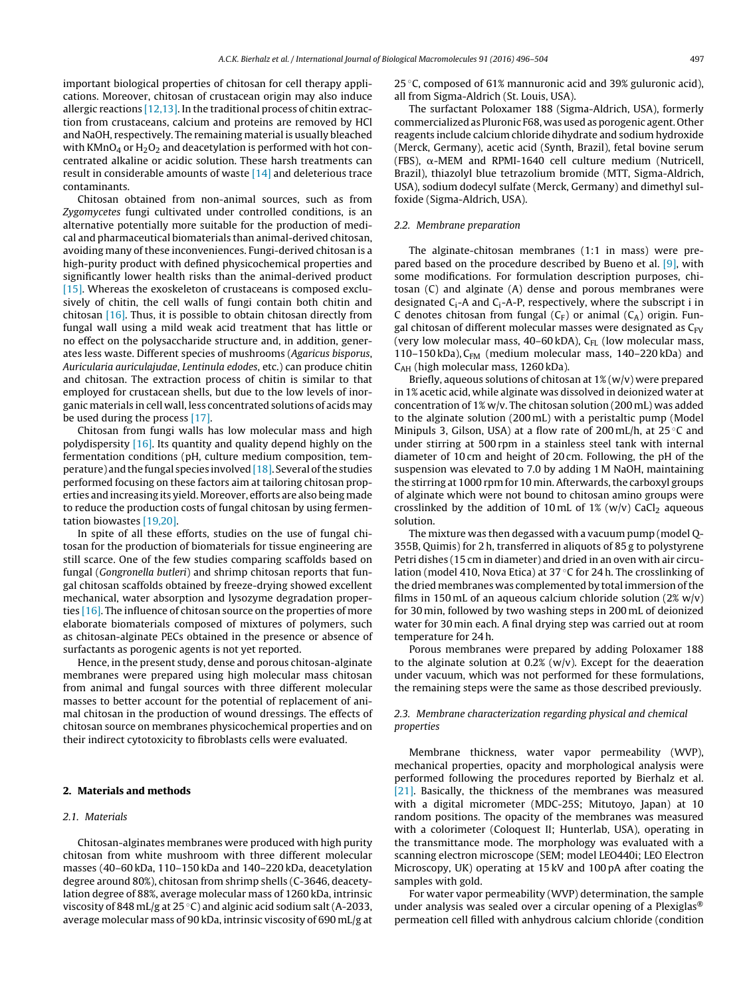important biological properties of chitosan for cell therapy applications. Moreover, chitosan of crustacean origin may also induce allergic reactions [\[12,13\].](#page--1-0) In the traditional process of chitin extraction from crustaceans, calcium and proteins are removed by HCl and NaOH, respectively. The remaining material is usually bleached with KMnO<sub>4</sub> or  $H_2O_2$  and deacetylation is performed with hot concentrated alkaline or acidic solution. These harsh treatments can result in considerable amounts of waste [\[14\]](#page--1-0) and deleterious trace contaminants.

Chitosan obtained from non-animal sources, such as from Zygomycetes fungi cultivated under controlled conditions, is an alternative potentially more suitable for the production of medical and pharmaceutical biomaterials than animal-derived chitosan, avoiding many of these inconveniences. Fungi-derived chitosan is a high-purity product with defined physicochemical properties and significantly lower health risks than the animal-derived product [\[15\].](#page--1-0) Whereas the exoskeleton of crustaceans is composed exclusively of chitin, the cell walls of fungi contain both chitin and chitosan [\[16\].](#page--1-0) Thus, it is possible to obtain chitosan directly from fungal wall using a mild weak acid treatment that has little or no effect on the polysaccharide structure and, in addition, generates less waste. Different species of mushrooms (Agaricus bisporus, Auricularia auriculajudae, Lentinula edodes, etc.) can produce chitin and chitosan. The extraction process of chitin is similar to that employed for crustacean shells, but due to the low levels of inorganic materials in cell wall, less concentrated solutions of acids may be used during the process [\[17\].](#page--1-0)

Chitosan from fungi walls has low molecular mass and high polydispersity [\[16\].](#page--1-0) Its quantity and quality depend highly on the fermentation conditions (pH, culture medium composition, temperature) and the fungal species involved  $[18]$ . Several of the studies performed focusing on these factors aim at tailoring chitosan properties and increasing its yield. Moreover, efforts are also being made to reduce the production costs of fungal chitosan by using fermentation biowastes [\[19,20\].](#page--1-0)

In spite of all these efforts, studies on the use of fungal chitosan for the production of biomaterials for tissue engineering are still scarce. One of the few studies comparing scaffolds based on fungal (Gongronella butleri) and shrimp chitosan reports that fungal chitosan scaffolds obtained by freeze-drying showed excellent mechanical, water absorption and lysozyme degradation properties [\[16\].](#page--1-0) The influence of chitosan source on the properties of more elaborate biomaterials composed of mixtures of polymers, such as chitosan-alginate PECs obtained in the presence or absence of surfactants as porogenic agents is not yet reported.

Hence, in the present study, dense and porous chitosan-alginate membranes were prepared using high molecular mass chitosan from animal and fungal sources with three different molecular masses to better account for the potential of replacement of animal chitosan in the production of wound dressings. The effects of chitosan source on membranes physicochemical properties and on their indirect cytotoxicity to fibroblasts cells were evaluated.

### **2. Materials and methods**

#### 2.1. Materials

Chitosan-alginates membranes were produced with high purity chitosan from white mushroom with three different molecular masses (40–60 kDa, 110–150 kDa and 140–220 kDa, deacetylation degree around 80%), chitosan from shrimp shells (C-3646, deacetylation degree of 88%, average molecular mass of 1260 kDa, intrinsic viscosity of 848 mL/g at 25 ◦C) and alginic acid sodium salt (A-2033, average molecular mass of 90 kDa, intrinsic viscosity of 690 mL/g at 25 ◦C, composed of 61% mannuronic acid and 39% guluronic acid), all from Sigma-Aldrich (St. Louis, USA).

The surfactant Poloxamer 188 (Sigma-Aldrich, USA), formerly commercialized as Pluronic F68, was used as porogenic agent. Other reagents include calcium chloride dihydrate and sodium hydroxide (Merck, Germany), acetic acid (Synth, Brazil), fetal bovine serum (FBS),  $\alpha$ -MEM and RPMI-1640 cell culture medium (Nutricell, Brazil), thiazolyl blue tetrazolium bromide (MTT, Sigma-Aldrich, USA), sodium dodecyl sulfate (Merck, Germany) and dimethyl sulfoxide (Sigma-Aldrich, USA).

## 2.2. Membrane preparation

The alginate-chitosan membranes (1:1 in mass) were pre-pared based on the procedure described by Bueno et al. [\[9\],](#page--1-0) with some modifications. For formulation description purposes, chitosan (C) and alginate (A) dense and porous membranes were designated  $C_i$ -A and  $C_i$ -A-P, respectively, where the subscript i in C denotes chitosan from fungal  $(C_F)$  or animal  $(C_A)$  origin. Fungal chitosan of different molecular masses were designated as  $C_{FV}$ (very low molecular mass, 40–60 kDA),  $C_{FL}$  (low molecular mass, 110–150 kDa), C<sub>FM</sub> (medium molecular mass, 140–220 kDa) and  $C_{AH}$  (high molecular mass, 1260 kDa).

Briefly, aqueous solutions of chitosan at  $1\%$  (w/v) were prepared in 1% acetic acid, while alginate was dissolved in deionized water at concentration of 1% w/v. The chitosan solution (200 mL) was added to the alginate solution (200 mL) with a peristaltic pump (Model Minipuls 3, Gilson, USA) at a flow rate of 200 mL/h, at 25 ◦C and under stirring at 500 rpm in a stainless steel tank with internal diameter of 10 cm and height of 20 cm. Following, the pH of the suspension was elevated to 7.0 by adding 1 M NaOH, maintaining the stirring at 1000 rpm for 10 min. Afterwards, the carboxyl groups of alginate which were not bound to chitosan amino groups were crosslinked by the addition of 10 mL of 1% (w/v) CaCl<sub>2</sub> aqueous solution.

The mixture was then degassed with a vacuum pump (model Q-355B, Quimis) for 2 h, transferred in aliquots of 85 g to polystyrene Petri dishes (15 cm in diameter) and dried in an oven with air circulation (model 410, Nova Etica) at 37 ◦C for 24 h. The crosslinking of the dried membranes was complemented by total immersion of the films in 150 mL of an aqueous calcium chloride solution  $(2\% w/v)$ for 30 min, followed by two washing steps in 200 mL of deionized water for 30 min each. A final drying step was carried out at room temperature for 24 h.

Porous membranes were prepared by adding Poloxamer 188 to the alginate solution at  $0.2%$  (w/v). Except for the deaeration under vacuum, which was not performed for these formulations, the remaining steps were the same as those described previously.

# 2.3. Membrane characterization regarding physical and chemical properties

Membrane thickness, water vapor permeability (WVP), mechanical properties, opacity and morphological analysis were performed following the procedures reported by Bierhalz et al. [\[21\].](#page--1-0) Basically, the thickness of the membranes was measured with a digital micrometer (MDC-25S; Mitutoyo, Japan) at 10 random positions. The opacity of the membranes was measured with a colorimeter (Coloquest II; Hunterlab, USA), operating in the transmittance mode. The morphology was evaluated with a scanning electron microscope (SEM; model LEO440i; LEO Electron Microscopy, UK) operating at 15 kV and 100 pA after coating the samples with gold.

For water vapor permeability (WVP) determination, the sample under analysis was sealed over a circular opening of a Plexiglas® permeation cell filled with anhydrous calcium chloride (condition